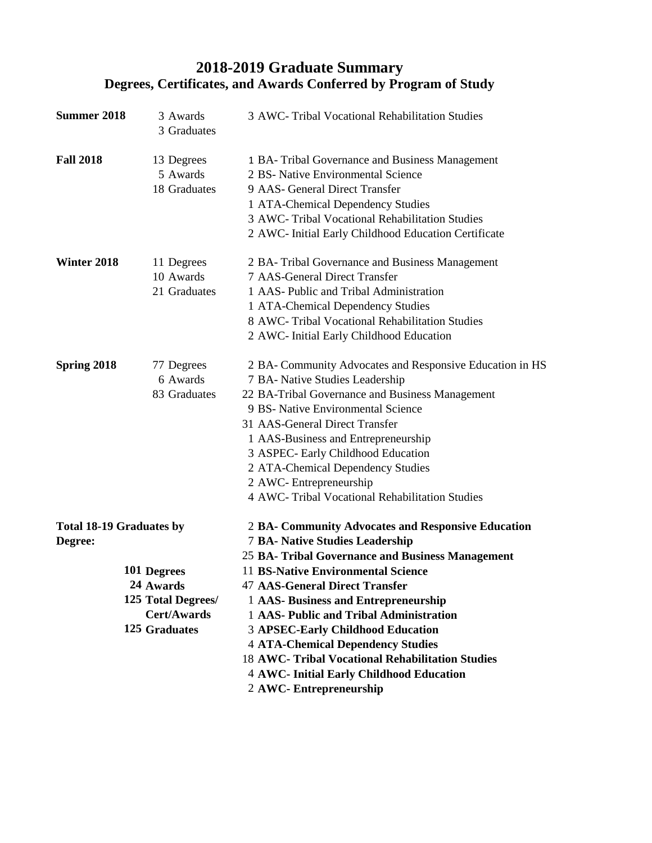## **2018-2019 Graduate Summary Degrees, Certificates, and Awards Conferred by Program of Study**

| <b>Summer 2018</b>                         | 3 Awards<br>3 Graduates                                                               | 3 AWC- Tribal Vocational Rehabilitation Studies                                                                                                                                                                                                                                                                                                                                                                       |
|--------------------------------------------|---------------------------------------------------------------------------------------|-----------------------------------------------------------------------------------------------------------------------------------------------------------------------------------------------------------------------------------------------------------------------------------------------------------------------------------------------------------------------------------------------------------------------|
| <b>Fall 2018</b>                           | 13 Degrees<br>5 Awards<br>18 Graduates                                                | 1 BA-Tribal Governance and Business Management<br>2 BS- Native Environmental Science<br>9 AAS- General Direct Transfer<br>1 ATA-Chemical Dependency Studies<br>3 AWC- Tribal Vocational Rehabilitation Studies<br>2 AWC- Initial Early Childhood Education Certificate                                                                                                                                                |
| Winter 2018                                | 11 Degrees<br>10 Awards<br>21 Graduates                                               | 2 BA- Tribal Governance and Business Management<br>7 AAS-General Direct Transfer<br>1 AAS- Public and Tribal Administration<br>1 ATA-Chemical Dependency Studies<br>8 AWC- Tribal Vocational Rehabilitation Studies<br>2 AWC- Initial Early Childhood Education                                                                                                                                                       |
| Spring 2018                                | 77 Degrees<br>6 Awards<br>83 Graduates                                                | 2 BA- Community Advocates and Responsive Education in HS<br>7 BA- Native Studies Leadership<br>22 BA-Tribal Governance and Business Management<br>9 BS- Native Environmental Science<br>31 AAS-General Direct Transfer<br>1 AAS-Business and Entrepreneurship<br>3 ASPEC- Early Childhood Education<br>2 ATA-Chemical Dependency Studies<br>2 AWC-Entrepreneurship<br>4 AWC- Tribal Vocational Rehabilitation Studies |
| <b>Total 18-19 Graduates by</b><br>Degree: |                                                                                       | 2 BA- Community Advocates and Responsive Education<br><b>7 BA- Native Studies Leadership</b><br>25 BA- Tribal Governance and Business Management                                                                                                                                                                                                                                                                      |
|                                            | 101 Degrees<br>24 Awards<br>125 Total Degrees/<br><b>Cert/Awards</b><br>125 Graduates | <b>11 BS-Native Environmental Science</b><br><b>47 AAS-General Direct Transfer</b><br>1 AAS- Business and Entrepreneurship<br>1 AAS- Public and Tribal Administration<br><b>3 APSEC-Early Childhood Education</b><br><b>4 ATA-Chemical Dependency Studies</b><br>18 AWC- Tribal Vocational Rehabilitation Studies<br>4 AWC- Initial Early Childhood Education<br>2 AWC-Entrepreneurship                               |